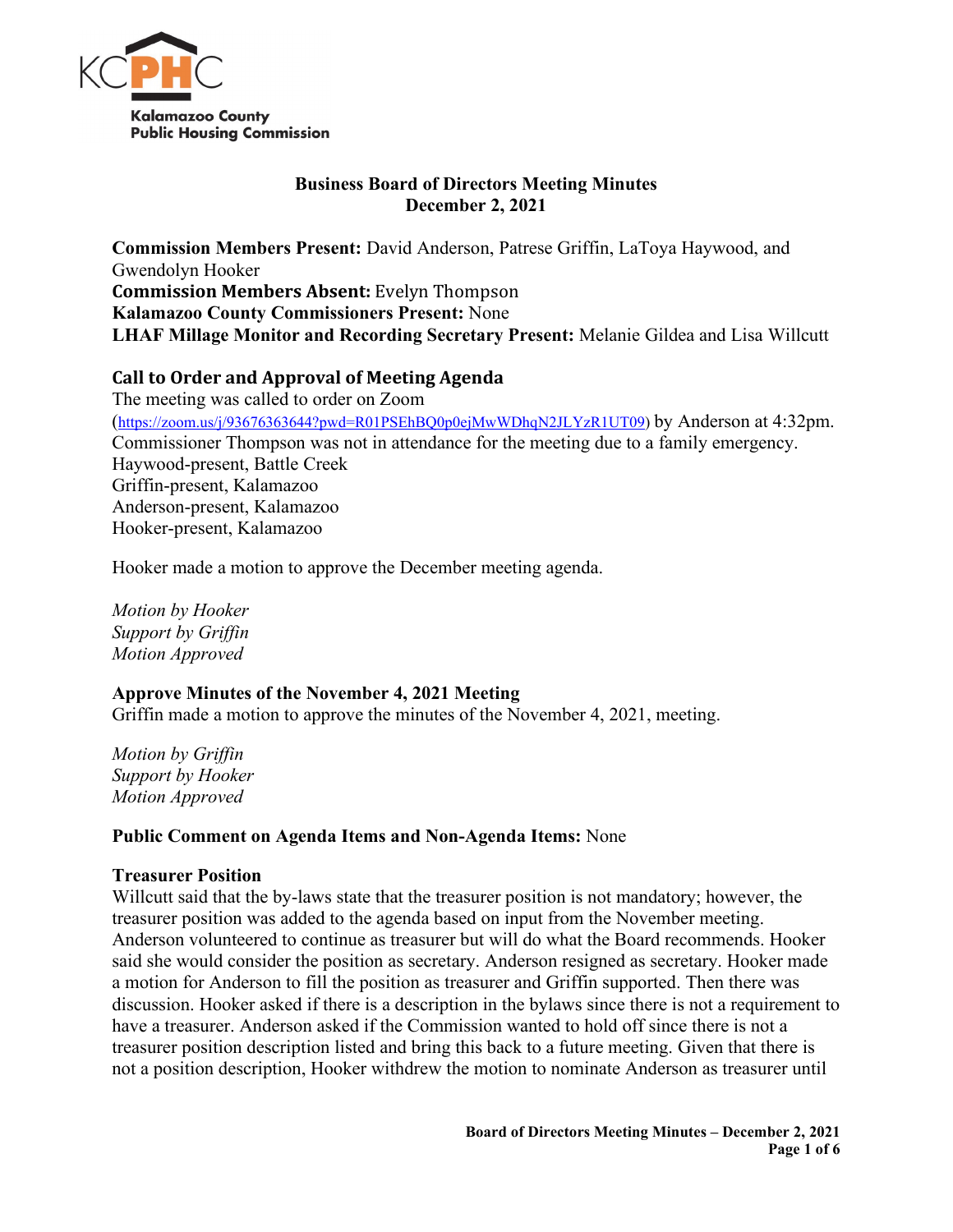

# **Business Board of Directors Meeting Minutes December 2, 2021**

**Commission Members Present:** David Anderson, Patrese Griffin, LaToya Haywood, and Gwendolyn Hooker **Commission Members Absent:** Evelyn Thompson **Kalamazoo County Commissioners Present:** None **LHAF Millage Monitor and Recording Secretary Present:** Melanie Gildea and Lisa Willcutt

# **Call to Order and Approval of Meeting Agenda**

The meeting was called to order on Zoom [\(https://zoom.us/j/93676363644?pwd=R01PSEhBQ0p0ejMwWDhqN2JLYzR1UT09\)](https://zoom.us/j/93676363644?pwd=R01PSEhBQ0p0ejMwWDhqN2JLYzR1UT09) by Anderson at 4:32pm. Commissioner Thompson was not in attendance for the meeting due to a family emergency. Haywood-present, Battle Creek Griffin-present, Kalamazoo Anderson-present, Kalamazoo Hooker-present, Kalamazoo

Hooker made a motion to approve the December meeting agenda.

*Motion by Hooker Support by Griffin Motion Approved*

# **Approve Minutes of the November 4, 2021 Meeting**

Griffin made a motion to approve the minutes of the November 4, 2021, meeting.

*Motion by Griffin Support by Hooker Motion Approved*

### **Public Comment on Agenda Items and Non-Agenda Items:** None

### **Treasurer Position**

Willcutt said that the by-laws state that the treasurer position is not mandatory; however, the treasurer position was added to the agenda based on input from the November meeting. Anderson volunteered to continue as treasurer but will do what the Board recommends. Hooker said she would consider the position as secretary. Anderson resigned as secretary. Hooker made a motion for Anderson to fill the position as treasurer and Griffin supported. Then there was discussion. Hooker asked if there is a description in the bylaws since there is not a requirement to have a treasurer. Anderson asked if the Commission wanted to hold off since there is not a treasurer position description listed and bring this back to a future meeting. Given that there is not a position description, Hooker withdrew the motion to nominate Anderson as treasurer until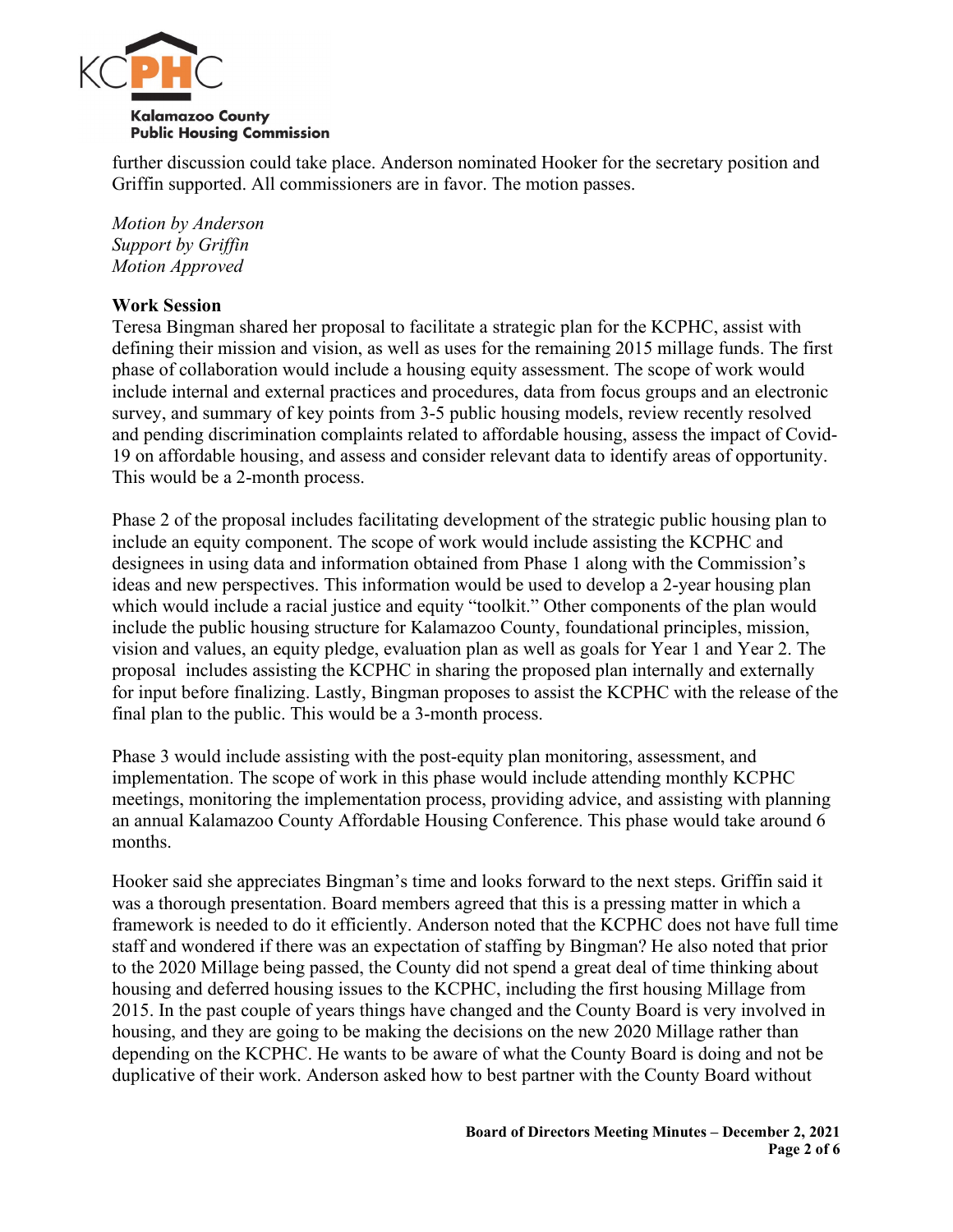

further discussion could take place. Anderson nominated Hooker for the secretary position and Griffin supported. All commissioners are in favor. The motion passes.

*Motion by Anderson Support by Griffin Motion Approved*

## **Work Session**

Teresa Bingman shared her proposal to facilitate a strategic plan for the KCPHC, assist with defining their mission and vision, as well as uses for the remaining 2015 millage funds. The first phase of collaboration would include a housing equity assessment. The scope of work would include internal and external practices and procedures, data from focus groups and an electronic survey, and summary of key points from 3-5 public housing models, review recently resolved and pending discrimination complaints related to affordable housing, assess the impact of Covid-19 on affordable housing, and assess and consider relevant data to identify areas of opportunity. This would be a 2-month process.

Phase 2 of the proposal includes facilitating development of the strategic public housing plan to include an equity component. The scope of work would include assisting the KCPHC and designees in using data and information obtained from Phase 1 along with the Commission's ideas and new perspectives. This information would be used to develop a 2-year housing plan which would include a racial justice and equity "toolkit." Other components of the plan would include the public housing structure for Kalamazoo County, foundational principles, mission, vision and values, an equity pledge, evaluation plan as well as goals for Year 1 and Year 2. The proposal includes assisting the KCPHC in sharing the proposed plan internally and externally for input before finalizing. Lastly, Bingman proposes to assist the KCPHC with the release of the final plan to the public. This would be a 3-month process.

Phase 3 would include assisting with the post-equity plan monitoring, assessment, and implementation. The scope of work in this phase would include attending monthly KCPHC meetings, monitoring the implementation process, providing advice, and assisting with planning an annual Kalamazoo County Affordable Housing Conference. This phase would take around 6 months.

Hooker said she appreciates Bingman's time and looks forward to the next steps. Griffin said it was a thorough presentation. Board members agreed that this is a pressing matter in which a framework is needed to do it efficiently. Anderson noted that the KCPHC does not have full time staff and wondered if there was an expectation of staffing by Bingman? He also noted that prior to the 2020 Millage being passed, the County did not spend a great deal of time thinking about housing and deferred housing issues to the KCPHC, including the first housing Millage from 2015. In the past couple of years things have changed and the County Board is very involved in housing, and they are going to be making the decisions on the new 2020 Millage rather than depending on the KCPHC. He wants to be aware of what the County Board is doing and not be duplicative of their work. Anderson asked how to best partner with the County Board without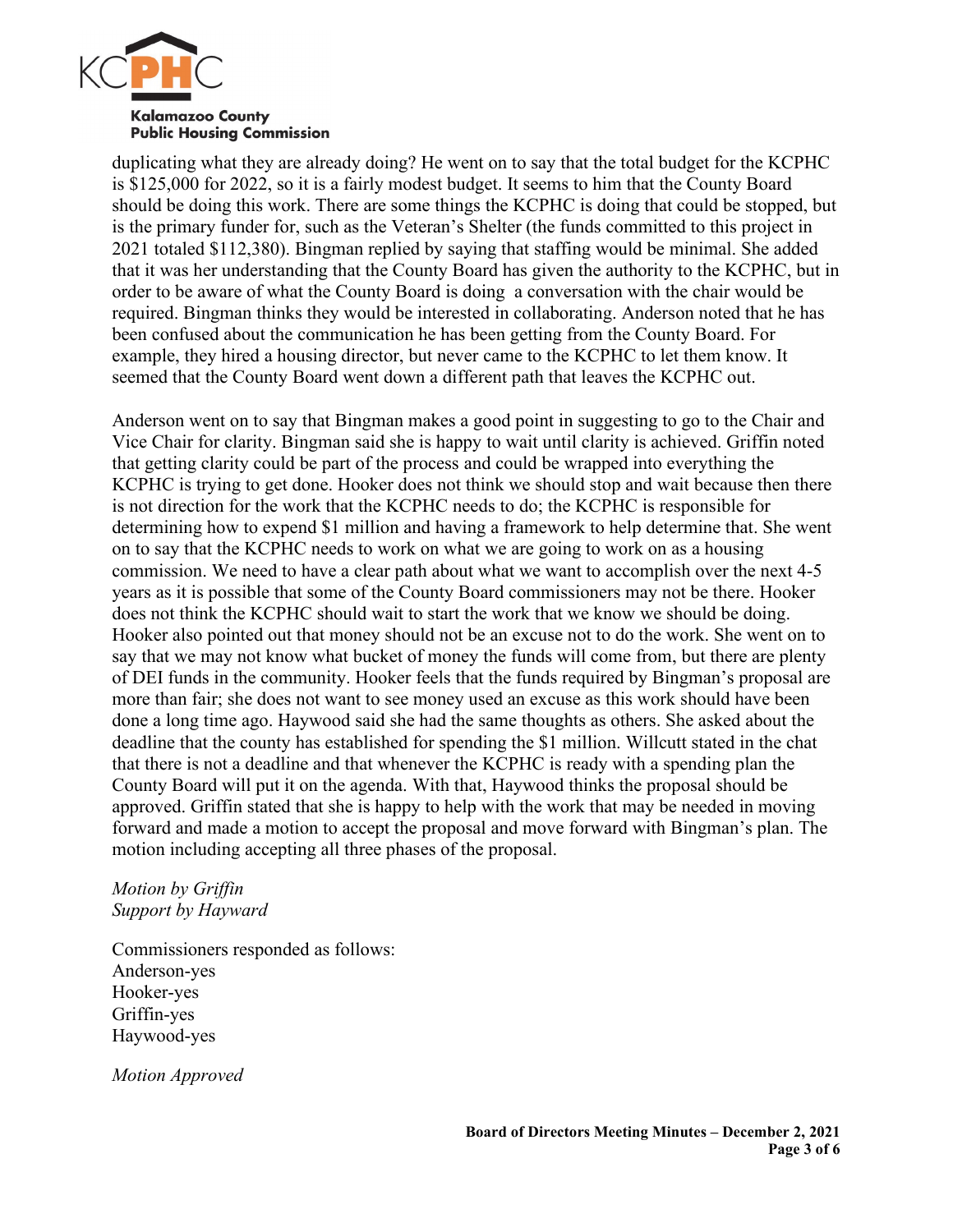

duplicating what they are already doing? He went on to say that the total budget for the KCPHC is \$125,000 for 2022, so it is a fairly modest budget. It seems to him that the County Board should be doing this work. There are some things the KCPHC is doing that could be stopped, but is the primary funder for, such as the Veteran's Shelter (the funds committed to this project in 2021 totaled \$112,380). Bingman replied by saying that staffing would be minimal. She added that it was her understanding that the County Board has given the authority to the KCPHC, but in order to be aware of what the County Board is doing a conversation with the chair would be required. Bingman thinks they would be interested in collaborating. Anderson noted that he has been confused about the communication he has been getting from the County Board. For example, they hired a housing director, but never came to the KCPHC to let them know. It seemed that the County Board went down a different path that leaves the KCPHC out.

Anderson went on to say that Bingman makes a good point in suggesting to go to the Chair and Vice Chair for clarity. Bingman said she is happy to wait until clarity is achieved. Griffin noted that getting clarity could be part of the process and could be wrapped into everything the KCPHC is trying to get done. Hooker does not think we should stop and wait because then there is not direction for the work that the KCPHC needs to do; the KCPHC is responsible for determining how to expend \$1 million and having a framework to help determine that. She went on to say that the KCPHC needs to work on what we are going to work on as a housing commission. We need to have a clear path about what we want to accomplish over the next 4-5 years as it is possible that some of the County Board commissioners may not be there. Hooker does not think the KCPHC should wait to start the work that we know we should be doing. Hooker also pointed out that money should not be an excuse not to do the work. She went on to say that we may not know what bucket of money the funds will come from, but there are plenty of DEI funds in the community. Hooker feels that the funds required by Bingman's proposal are more than fair; she does not want to see money used an excuse as this work should have been done a long time ago. Haywood said she had the same thoughts as others. She asked about the deadline that the county has established for spending the \$1 million. Willcutt stated in the chat that there is not a deadline and that whenever the KCPHC is ready with a spending plan the County Board will put it on the agenda. With that, Haywood thinks the proposal should be approved. Griffin stated that she is happy to help with the work that may be needed in moving forward and made a motion to accept the proposal and move forward with Bingman's plan. The motion including accepting all three phases of the proposal.

#### *Motion by Griffin Support by Hayward*

Commissioners responded as follows: Anderson-yes Hooker-yes Griffin-yes Haywood-yes

*Motion Approved*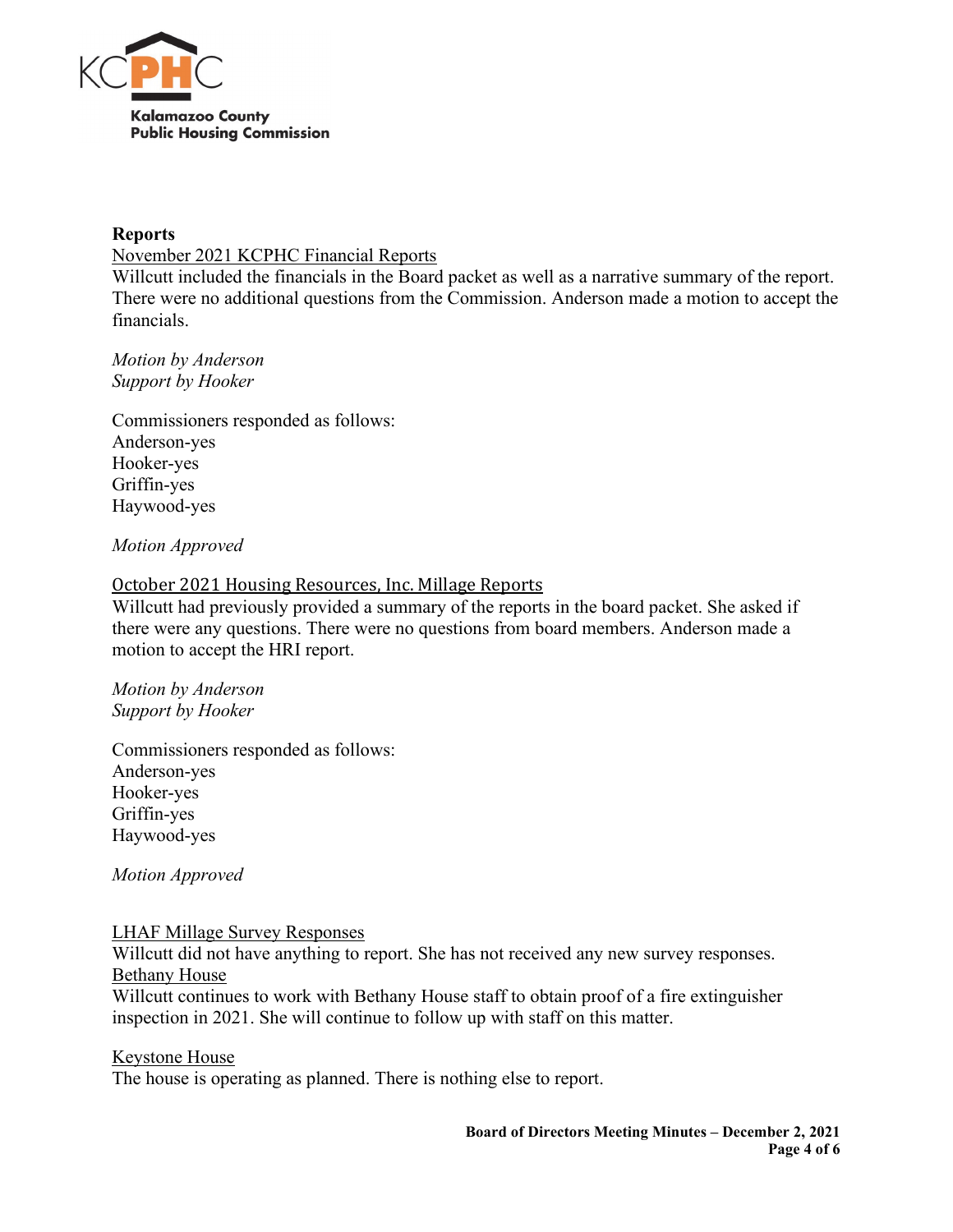

#### **Reports**

November 2021 KCPHC Financial Reports

Willcutt included the financials in the Board packet as well as a narrative summary of the report. There were no additional questions from the Commission. Anderson made a motion to accept the financials.

*Motion by Anderson Support by Hooker*

Commissioners responded as follows: Anderson-yes Hooker-yes Griffin-yes Haywood-yes

## *Motion Approved*

### October 2021 Housing Resources, Inc. Millage Reports

Willcutt had previously provided a summary of the reports in the board packet. She asked if there were any questions. There were no questions from board members. Anderson made a motion to accept the HRI report.

*Motion by Anderson Support by Hooker*

Commissioners responded as follows: Anderson-yes Hooker-yes Griffin-yes Haywood-yes

*Motion Approved*

### LHAF Millage Survey Responses

Willcutt did not have anything to report. She has not received any new survey responses. Bethany House

Willcutt continues to work with Bethany House staff to obtain proof of a fire extinguisher inspection in 2021. She will continue to follow up with staff on this matter.

# Keystone House

The house is operating as planned. There is nothing else to report.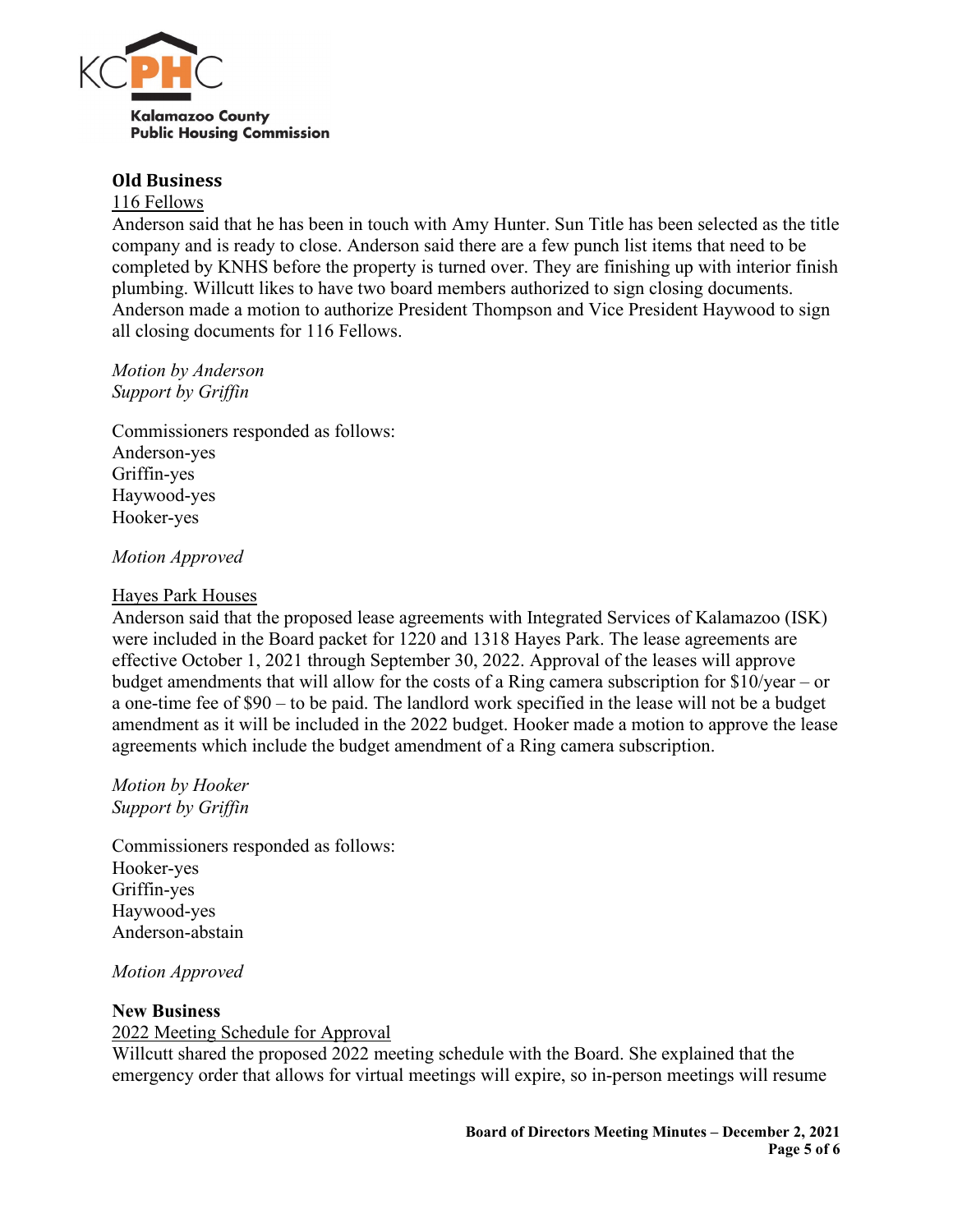

#### **Old Business**

#### 116 Fellows

Anderson said that he has been in touch with Amy Hunter. Sun Title has been selected as the title company and is ready to close. Anderson said there are a few punch list items that need to be completed by KNHS before the property is turned over. They are finishing up with interior finish plumbing. Willcutt likes to have two board members authorized to sign closing documents. Anderson made a motion to authorize President Thompson and Vice President Haywood to sign all closing documents for 116 Fellows.

*Motion by Anderson Support by Griffin*

Commissioners responded as follows: Anderson-yes Griffin-yes Haywood-yes Hooker-yes

### *Motion Approved*

#### Hayes Park Houses

Anderson said that the proposed lease agreements with Integrated Services of Kalamazoo (ISK) were included in the Board packet for 1220 and 1318 Hayes Park. The lease agreements are effective October 1, 2021 through September 30, 2022. Approval of the leases will approve budget amendments that will allow for the costs of a Ring camera subscription for \$10/year – or a one-time fee of \$90 – to be paid. The landlord work specified in the lease will not be a budget amendment as it will be included in the 2022 budget. Hooker made a motion to approve the lease agreements which include the budget amendment of a Ring camera subscription.

*Motion by Hooker Support by Griffin*

Commissioners responded as follows: Hooker-yes Griffin-yes Haywood-yes Anderson-abstain

*Motion Approved*

#### **New Business**

### 2022 Meeting Schedule for Approval

Willcutt shared the proposed 2022 meeting schedule with the Board. She explained that the emergency order that allows for virtual meetings will expire, so in-person meetings will resume